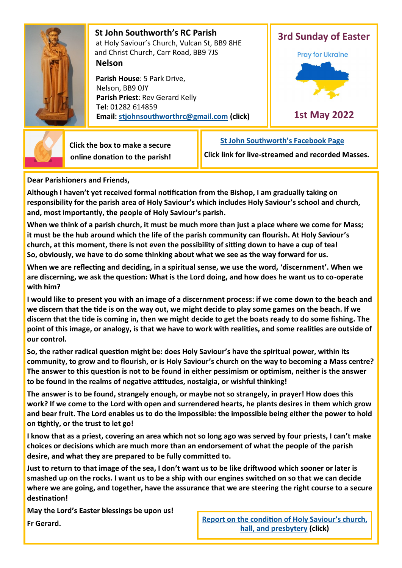

 **St John Southworth's RC Parish** at Holy Saviour's Church, Vulcan St, BB9 8HE and Christ Church, Carr Road, BB9 7JS **Nelson**

 **Parish House**: 5 Park Drive, Nelson, BB9 0JY **Parish Priest**: Rev Gerard Kelly **Tel**: 01282 614859 **Email: [stjohnsouthworthrc@gmail.com](mailto:stjohnsouthworth@gmail.com) (click)**





 **Click the box to make a secure online donation to the parish!** **[St John Southworth](https://www.facebook.com/Parish-of-St-John-Southworth-in-Nelson-105718084323986)'s Facebook Page**

**Click link for live-streamed and recorded Masses.**

**Dear Parishioners and Friends,**

**Although I haven't yet received formal notification from the Bishop, I am gradually taking on responsibility for the parish area of Holy Saviour's which includes Holy Saviour's school and church, and, most importantly, the people of Holy Saviour's parish.**

**When we think of a parish church, it must be much more than just a place where we come for Mass; it must be the hub around which the life of the parish community can flourish. At Holy Saviour's church, at this moment, there is not even the possibility of sitting down to have a cup of tea! So, obviously, we have to do some thinking about what we see as the way forward for us.**

**When we are reflecting and deciding, in a spiritual sense, we use the word, 'discernment'. When we are discerning, we ask the question: What is the Lord doing, and how does he want us to co-operate with him?**

**I would like to present you with an image of a discernment process: if we come down to the beach and we discern that the tide is on the way out, we might decide to play some games on the beach. If we discern that the tide is coming in, then we might decide to get the boats ready to do some fishing. The point of this image, or analogy, is that we have to work with realities, and some realities are outside of our control.**

**So, the rather radical question might be: does Holy Saviour's have the spiritual power, within its community, to grow and to flourish, or is Holy Saviour's church on the way to becoming a Mass centre? The answer to this question is not to be found in either pessimism or optimism, neither is the answer to be found in the realms of negative attitudes, nostalgia, or wishful thinking!**

**The answer is to be found, strangely enough, or maybe not so strangely, in prayer! How does this work? If we come to the Lord with open and surrendered hearts, he plants desires in them which grow and bear fruit. The Lord enables us to do the impossible: the impossible being either the power to hold on tightly, or the trust to let go!** 

**I know that as a priest, covering an area which not so long ago was served by four priests, I can't make choices or decisions which are much more than an endorsement of what the people of the parish desire, and what they are prepared to be fully committed to.**

**Just to return to that image of the sea, I don't want us to be like driftwood which sooner or later is smashed up on the rocks. I want us to be a ship with our engines switched on so that we can decide where we are going, and together, have the assurance that we are steering the right course to a secure destination!**

**May the Lord's Easter blessings be upon us!** 

**Fr Gerard. [Report on the condition of Holy Saviour](https://drive.google.com/file/d/1FlwjGsbwf-BZKLwZfvtsdFchg4jRZ-J9/view?usp=sharing)'s church, Report on the condition of Holy Saviour's church, [hall, and presbytery](https://drive.google.com/file/d/1FlwjGsbwf-BZKLwZfvtsdFchg4jRZ-J9/view?usp=sharing) (click)**